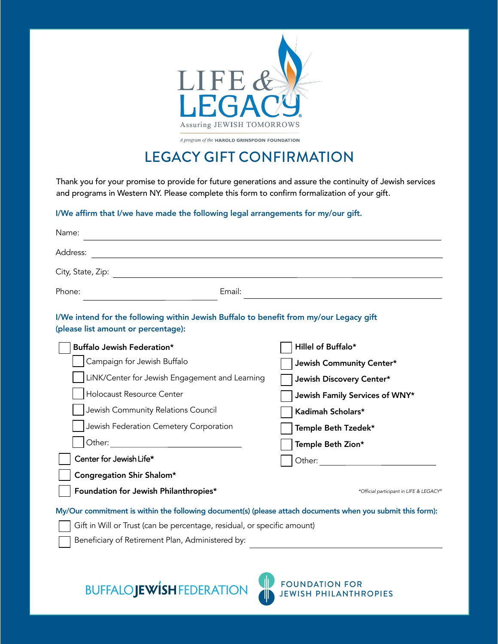

A program of the HAROLD GRINSPOON FOUNDATION

## LEGACY GIFT CONFIRMATION

Thank you for your promise to provide for future generations and assure the continuity of Jewish services and programs in Western NY. Please complete this form to confirm formalization of your gift.

## I/We affirm that I/we have made the following legal arrangements for my/our gift.

| Name:                                                                                                                         |                                                                                                            |
|-------------------------------------------------------------------------------------------------------------------------------|------------------------------------------------------------------------------------------------------------|
| Address:                                                                                                                      |                                                                                                            |
|                                                                                                                               |                                                                                                            |
| Phone:                                                                                                                        | Email:                                                                                                     |
| I/We intend for the following within Jewish Buffalo to benefit from my/our Legacy gift<br>(please list amount or percentage): |                                                                                                            |
| Buffalo Jewish Federation*                                                                                                    | Hillel of Buffalo*                                                                                         |
| Campaign for Jewish Buffalo                                                                                                   | Jewish Community Center*                                                                                   |
| LiNK/Center for Jewish Engagement and Learning                                                                                | Jewish Discovery Center*                                                                                   |
| Holocaust Resource Center                                                                                                     | Jewish Family Services of WNY*                                                                             |
| Jewish Community Relations Council                                                                                            | Kadimah Scholars*                                                                                          |
| Jewish Federation Cemetery Corporation                                                                                        | Temple Beth Tzedek*                                                                                        |
|                                                                                                                               | Temple Beth Zion*                                                                                          |
| Center for Jewish Life*                                                                                                       |                                                                                                            |
| Congregation Shir Shalom*                                                                                                     |                                                                                                            |
| Foundation for Jewish Philanthropies*                                                                                         | *Official participant in LIFE & LEGACY®                                                                    |
|                                                                                                                               | My/Our commitment is within the following document(s) (please attach documents when you submit this form): |
| Gift in Will or Trust (can be percentage, residual, or specific amount)                                                       |                                                                                                            |

Beneficiary of Retirement Plan, Administered by:

**BUFFALOJEWISH FEDERATION**